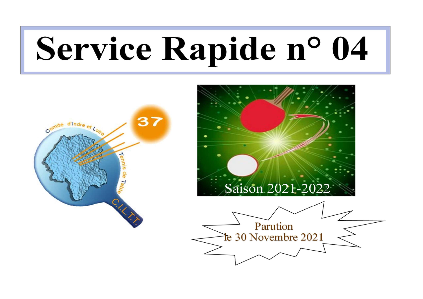# Service Rapide n° 04



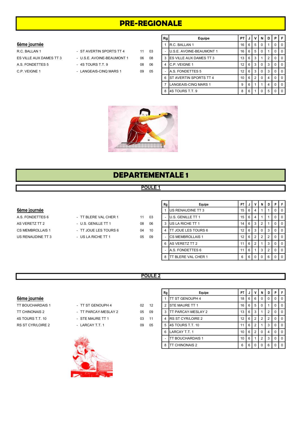## PRE-REGIONALE

#### 6ème journée

| <u>vellie Juulilee</u>  |                            |    |    |
|-------------------------|----------------------------|----|----|
| R.C. BALLAN 1           | - ST AVERTIN SPORTS TT 4   | 11 | 03 |
| ES VILLE AUX DAMES TT 3 | - U.S.E. AVOINE-BEAUMONT 1 | 06 | 08 |
| A.S. FONDETTES 5        | - 4S TOURS T.T. 9          | 08 | 06 |
| C.P. VEIGNE 1           | - LANGEAIS-CINQ MARS 1     | 09 | 05 |

|                         |                            |    |    | Rg | Equipe                             | <b>PT</b>       | JI     | v   | N                       | D              |           | P F            |
|-------------------------|----------------------------|----|----|----|------------------------------------|-----------------|--------|-----|-------------------------|----------------|-----------|----------------|
| 6ème journée            |                            |    |    |    | IR.C. BALLAN 1                     |                 | 16   6 | - 5 | 0                       |                |           | $0$   0        |
| R.C. BALLAN 1           | - ST AVERTIN SPORTS TT 4   | 11 | 03 |    | - <b>JU.S.E. AVOINE-BEAUMONT 1</b> |                 | 16 6 5 |     | $\Omega$                |                |           | $0$   $0$      |
| ES VILLE AUX DAMES TT 3 | - U.S.E. AVOINE-BEAUMONT 1 | 06 | 08 |    | 3 <b>IES VILLE AUX DAMES TT 3</b>  |                 | 13   6 | -3  |                         |                |           | 0 <sub>0</sub> |
| A.S. FONDETTES 5        | $-4S$ TOURS T.T. 9         | 08 | 06 |    | 4 C.P. VEIGNE 1                    | 12 <sub>1</sub> | 6 3    |     | $\mathbf 0$             | 3              |           | $0$   0        |
| C.P. VEIGNE 1           | - LANGEAIS-CINQ MARS 1     | 09 | 05 |    | <b>A.S. FONDETTES 5</b>            | 12 <sub>1</sub> | 6 3    |     | $\Omega$                | 3              |           | $0$   0        |
|                         |                            |    |    |    | 6 IST AVERTIN SPORTS TT 4          | $10$   6   2    |        |     | $^{\circ}$ 0 $^{\circ}$ | $\overline{4}$ | $0$   $0$ |                |
|                         |                            |    |    |    | <b>LANGEAIS-CINQ MARS 1</b>        | 9               | 6      |     |                         | 4              |           | $0$   0        |
|                         |                            |    |    |    | 8 4S TOURS T.T. 9                  | 8               | 6 I    |     | $\mathbf 0$             | 5 <sup>1</sup> |           | $0$   $0$      |



### DEPARTEMENTALE 1

#### POULE 1

#### 6ème journée

A.S. FONDETTES 6 - TT BLERE VAL CHER 1 11 AS VERETZ TT 2  $-$  U.S. GENILLE TT 1 08 CS MEMBROLLAIS 1 - TT JOUE LES TOURS 6 04 US RENAUDINE TT 3 - US LA RICHE TT 1 05 09

| 1 | 03 |
|---|----|
| 8 | 06 |
| 4 | 10 |
|   |    |

| Rg | Equipe                    | PT |   |                | N | D | P | F |
|----|---------------------------|----|---|----------------|---|---|---|---|
|    | US RENAUDINE TT 3         | 15 | 6 | 4              |   |   | O | O |
|    | <b>IU.S. GENILLE TT 1</b> | 15 | 6 | 4              |   |   | O | O |
| 3  | US LA RICHE TT 1          | 14 | 6 | 3              | 2 |   | O | O |
| 4  | TT JOUE LES TOURS 6       | 12 | 6 | 3              | 0 | 3 | 0 | 0 |
|    | <b>CS MEMBROLLAIS 1</b>   | 12 | 6 | $\overline{2}$ | 2 | 2 | 0 | 0 |
| 6  | AS VERETZ TT 2            | 11 | 6 | $\overline{2}$ |   | 3 | 0 | O |
|    | <b>JA.S. FONDETTES 6</b>  | 11 | 6 |                | 3 | 2 | 0 | O |
| 8  | TT BLERE VAL CHER 1       | 6  | 6 | ŋ              | ŋ | 6 | O | ŋ |

#### POULE 2



- 
- 



|                         |                      |                 |     | Rg | Equipe                     |                   |              | <b>PTIJIVI</b>    | <b>N</b>    | D I            | PIF            |
|-------------------------|----------------------|-----------------|-----|----|----------------------------|-------------------|--------------|-------------------|-------------|----------------|----------------|
| 6ème journée            |                      |                 |     |    | <b>ITT ST GENOUPH 4</b>    |                   |              | 18 6 6 6 1        | $\Omega$    | $\Omega$       | $0$   $0$      |
| <b>TT BOUCHARDAIS 1</b> | - TT ST GENOUPH 4    | 02 <sup>2</sup> | 12  |    | <b>ISTE MAURE TT 1</b>     |                   | $16$   6   5 |                   | $\mathbf 0$ |                | $0$   $0$      |
| <b>TT CHINONAIS 2</b>   | - TT PARCAY-MESLAY 2 | 05              | -09 | 3  | <b>ITT PARCAY-MESLAY 2</b> | $13$   6   3      |              |                   |             | 2              | $0$   $0$      |
| 4S TOURS T.T. 10        | - STE MAURE TT 1     | 03              | 11  | 4  | <b>IRS ST CYR/LOIRE 2</b>  | 12 $\overline{6}$ |              | 2                 | 2           | 2              | 0 <sub>0</sub> |
| RS ST CYR/LOIRE 2       | - LARCAY T.T. 1      | 09              | 05  | 5  | <b>I4S TOURS T.T. 10</b>   |                   | 6            | $\sqrt{2}$        |             | 3              | 0 <sub>0</sub> |
|                         |                      |                 |     |    | 6 LARCAY T.T. 1            |                   |              | $10$ $6$ $12$ $1$ | $\Omega$    | $\overline{4}$ | $01$ 0         |
|                         |                      |                 |     |    | <b>ITT BOUCHARDAIS 1</b>   | $10$   6          |              |                   | 2           | 3 <sub>1</sub> | $0$   $0$      |
|                         |                      |                 |     | 8  | <b>ITT CHINONAIS 2</b>     |                   |              | 6 6 0 1           | $\mathbf 0$ | 6              | $0$   $0$      |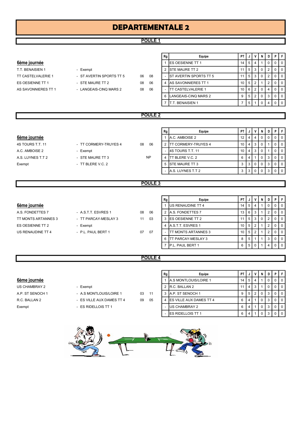# DEPARTEMENTALE 2

#### POULE 1

#### 6ème journée

| Rg | Equipe                     |                                                                                                                                    |                | V                    | N                                              | D I                   | PIF            |
|----|----------------------------|------------------------------------------------------------------------------------------------------------------------------------|----------------|----------------------|------------------------------------------------|-----------------------|----------------|
|    |                            |                                                                                                                                    | 5              |                      |                                                |                       | $0$   $0$      |
|    |                            |                                                                                                                                    | 5 <sup>1</sup> | - 3                  | $\Omega$                                       | 2                     | 0 <sub>0</sub> |
|    |                            |                                                                                                                                    |                |                      |                                                | 2                     | 0 <sub>0</sub> |
|    |                            |                                                                                                                                    |                |                      |                                                |                       | 0 <sub>0</sub> |
|    | <b>ITT CASTELVALERIE 1</b> |                                                                                                                                    |                |                      |                                                | $\overline{4}$        | $01$ 0         |
|    |                            | 9                                                                                                                                  | 5              | $^{\circ}$ 2         | $\Omega$                                       | 3                     | 0 <sub>0</sub> |
|    | <b>BENAISIEN 1</b>         |                                                                                                                                    | 5              |                      | $\Omega$                                       | 4                     | $0$   0        |
|    |                            | <b>IES OESIENNE TT 1</b><br><b>ISTE MAURE TT 2</b><br>- IST AVERTIN SPORTS TT 5<br>4 AS SAVONNIERES TT 1<br>6 LANGEAIS-CINQ MARS 2 |                | PT I<br>14 I<br>11 L | JI<br>5 3<br>$10$   5  <br>12<br>$10$ $6$ $12$ | l 0<br>$\overline{0}$ |                |

#### POULE 2

#### Rg │ Equipe │ PT │ J │ V │ N │ D │ P │ F │  $\frac{6\text{ème} \text{ journey}}{1}$  A.C. AMBOISE 2  $\frac{1}{2}$   $\frac{1}{4}$   $\frac{1}{4}$   $\frac{1}{4}$   $\frac{1}{8}$   $\frac{1}{10}$   $\frac{1}{10}$   $\frac{1}{10}$   $\frac{1}{10}$ 4S TOURS T.T. 11 - TT CORMERY-TRUYES 4 08 06 2 TT CORMERY-TRUYES 4 10 4 3 0 1 0 0 A.C. AMBOISE 2 - Exempt Francisco Laterature 2 - 4S TOURS T.T. 11 10 4 3 0 1 0 0 0 A.S. LUYNES T.T 2 - STE MAURE TT 3 NP 4 TT BLERE V.C. 2 6 4 1 0 3 0 0 Exempt  $-$  TT BLERE V.C. 2  $5$  STE MAURE TT 3  $3 \mid 3 \mid 0 \mid 0 \mid 3 \mid 0 \mid 0 \mid 1$ A.S. LUYNES T.T 2 <br>3 3 0 0 3 0 0 3 0 0 NP

#### POULE 3

Ē

|                     |                      |            | Rg | Equipe                      | PT I              |              |     | N        | D | PIF      |
|---------------------|----------------------|------------|----|-----------------------------|-------------------|--------------|-----|----------|---|----------|
| 6ème journée        |                      |            |    | <b>IUS RENAUDINE TT 4</b>   | 14 I              | 5            | 4   |          | 0 | $\Omega$ |
| A.S. FONDETTES 7    | - A.S.T.T. ESVRES 1  | 08<br>06   |    | <b>A.S. FONDETTES 7</b>     | 13 I              | 6 3          |     |          | 0 | $\Omega$ |
| TT MONTS ARTANNES 3 | - TT PARCAY-MESLAY 3 | 03<br>11   |    | <b>IES OESIENNE TT 2</b>    | $11$   5   $\sim$ |              | 3 I | $\Omega$ | 2 | $\Omega$ |
| ES OESIENNE TT 2    | - Exempt             |            |    | <b>A.S.T.T. ESVRES 1</b>    |                   | $10$   5   2 |     |          | 2 | $\Omega$ |
| US RENAUDINE TT 4   | - P.L. PAUL BERT 1   | 07<br>- 07 | -  | <b>ITT MONTS ARTANNES 3</b> |                   | $10$   5   2 |     |          | 2 | $\Omega$ |
|                     |                      |            |    | <b>ITT PARCAY-MESLAY 3</b>  |                   | 5            |     |          | 3 | $\Omega$ |

#### POULE 4

# Exempt - ES RIDELLOIS TT 1

| US CHAMBRAY 2    | - Exempt                |    |
|------------------|-------------------------|----|
| A.P. ST SENOCH 1 | - A.S MONTLOUIS/LOIRE 1 | 11 |

- R.C. BALLAN 2 ES VILLE AUX DAMES TT 4 09 05
	-

|                  |                           |    |     | Rg | Equipe                            | <b>PT</b> |   | v | N           | D | PIF             |
|------------------|---------------------------|----|-----|----|-----------------------------------|-----------|---|---|-------------|---|-----------------|
| 6ème journée     |                           |    |     |    | <b>JA.S MONTLOUIS/LOIRE 1</b>     | 14        | 5 |   |             |   | 0 <sub>0</sub>  |
| US CHAMBRAY 2    | - Exempt                  |    |     |    | 2 IR.C. BALLAN 2                  |           |   |   |             |   | $0$   0         |
| A.P. ST SENOCH 1 | - A.S MONTLOUIS/LOIRE 1   | 03 | -11 |    | 3 IA.P. ST SENOCH 1               |           | 5 |   |             |   | 0 <sub>0</sub>  |
| R.C. BALLAN 2    | - ES VILLE AUX DAMES TT 4 | 09 | 05  |    | 4 <b>IES VILLE AUX DAMES TT 4</b> | 6         |   |   | $\Omega$    |   | 0 <sub>10</sub> |
| Exempt           | - ES RIDELLOIS TT 1       |    |     |    | <b>US CHAMBRAY 2</b>              | 6         |   |   | $\Omega$    |   | 0 1 0           |
|                  |                           |    |     |    | <b>ES RIDELLOIS TT 1</b>          | 6 I       |   |   | $\mathbf 0$ |   | $0$   $0$       |

7 P.L. PAUL BERT 1 6 5 0 1 4 0 0

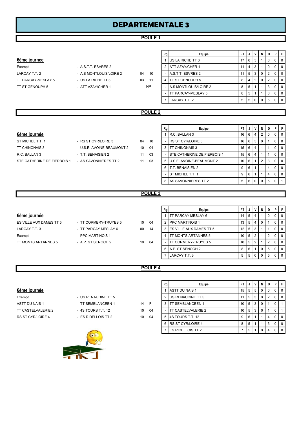# DEPARTEMENTALE 3

#### POULE 1

#### 6ème journée

TT ST GENOUPH 5 - ATT AZAY/CHER 1

Exempt - A.S.T.T. ESVRES 2 LARCAY T.T. 2 - A.S. MONTLOUIS/LOIRE 2 04 10 TT PARCAY-MESLAY 5 - US LA RICHE TT 3 03 11

NP

| Rg             | Equipe                       | PТ |   |   | N        | D | Р | F |
|----------------|------------------------------|----|---|---|----------|---|---|---|
|                | US LA RICHE TT 3             | 17 | 6 | 5 |          |   |   | O |
| $\overline{2}$ | <b>ATT AZAY/CHER 1</b>       | 11 |   | 3 |          |   |   | O |
|                | <b>JA.S.T.T. ESVRES 2</b>    | 11 | 5 | 3 | 0        |   |   | ŋ |
| 4              | <b>ITT ST GENOUPH 5</b>      | 8  | 4 | 2 | $\Omega$ | 2 | n | O |
|                | <b>A.S MONTLOUIS/LOIRE 2</b> | 8  | 5 |   |          | 3 |   | O |
|                | TT PARCAY-MESLAY 5           | 8  | 5 |   |          | 3 |   | O |
|                | LARCAY T.T. 2                | 5  | 5 |   |          | 5 |   |   |
|                |                              |    |   |   |          |   |   |   |

#### POULE 2

#### 6ème journée

| S ST CYR/LOIRE 3       |  |
|------------------------|--|
| S.E. AVOINE-BEAUMONT 2 |  |
| T. BENAISIEN 2         |  |
| S SAVONNIERES TT 2     |  |
|                        |  |

|                             |                            |    |    | Rg | Equipe                              | PT I            | J   | V        | N     | D              | PF        |
|-----------------------------|----------------------------|----|----|----|-------------------------------------|-----------------|-----|----------|-------|----------------|-----------|
| 6ème journée                |                            |    |    |    | R.C. BALLAN 3                       | 16 I            | 6   |          | 2     |                | $01$ 0    |
| ST MICHEL T.T. 1            | - RS ST CYR/LOIRE 3        | 04 | 10 |    | - IRS ST CYR/LOIRE 3                | 16 I            | 6 I | - 5      | 0     |                | $01$ 0    |
| TT CHINONAIS 3              | - U.S.E. AVOINE-BEAUMONT 2 | 10 | 04 |    | 3 <b>ITT CHINONAIS 3</b>            | 15 <sup>1</sup> | 6   | 4        |       |                | $0$   $0$ |
| R.C. BALLAN 3               | - T.T. BENAISIEN 2         | 11 | 03 |    | <b>ISTE CATHERINE DE FIERBOIS 1</b> | 15 I            | 6   |          |       |                | $0$   $0$ |
| STE CATHERINE DE FIERBOIS 1 | - AS SAVONNIERES TT 2      | 11 | 03 |    | 5 U.S.E. AVOINE-BEAUMONT 2          | $10$   6        |     |          | 2     | 3              | $0$   $0$ |
|                             |                            |    |    | 6  | IT.T. BENAISIEN 2                   | 9               | 6   |          |       | 4              | $01$ 0    |
|                             |                            |    |    |    | <b>IST MICHEL T.T. 1</b>            | 9               | 6   |          |       | 4              | $01$ 0    |
|                             |                            |    |    |    | 8 AS SAVONNIERES TT 2               | 5               | 6 I | $\Omega$ | l 0 l | 5 <sup>1</sup> | $0$   1   |

#### POULE 3

#### 6ème journée

| - TT CORMERY-TRUYES 5 |
|-----------------------|
| - TT PARCAY MESLAY 6  |
|                       |
|                       |
|                       |

|                         |                       |                 |      | Equipe<br>Rg |                                   | <b>PT</b> |     | V              | N        | D I            | PIF             |
|-------------------------|-----------------------|-----------------|------|--------------|-----------------------------------|-----------|-----|----------------|----------|----------------|-----------------|
| 6ème journée            |                       |                 |      |              | <b>ITT PARCAY MESLAY 6</b>        | 14        | 5   | 4              |          |                | $\overline{0}$  |
| ES VILLE AUX DAMES TT 5 | - TT CORMERY-TRUYES 5 | 10              | - 04 |              | 2 <b>IPPC MARTINOIS 1</b>         | 13        | 5   | 4              | $\Omega$ |                | $\overline{0}$  |
| LARCAY T.T. 3           | - TT PARCAY MESLAY 6  | 00              | 14   |              | 3 <b>IES VILLE AUX DAMES TT 5</b> | 12        | 5   | 3              |          |                | $\overline{10}$ |
| Exempt                  | - PPC MARTINOIS 1     |                 |      |              | 4 ITT MONTS ARTANNES 5            | 10        | -5  | 2              |          |                | $\overline{10}$ |
| TT MONTS ARTANNES 5     | - A.P. ST SENOCH 2    | 10 <sup>°</sup> | 04   |              | <b>ITT CORMERY-TRUYES 5</b>       | 10        | -5  | 2              |          |                | 10'             |
|                         |                       |                 |      |              | 6 A.P. ST SENOCH 2                | 8         | 6   |                | $\Omega$ | 5   0          | ., 10'          |
|                         |                       |                 |      |              | LARCAY T.T. 3                     | 5         | 5 I | $\overline{0}$ | $\Omega$ | 5 <sup>1</sup> | $0$   $0$       |
|                         |                       |                 |      |              |                                   |           |     |                |          |                |                 |

#### POULE 4

#### 6ème journée

| <u>sania laariisa</u> |                     |      |    |
|-----------------------|---------------------|------|----|
| Exempt                | - US RENAUDINE TT 5 |      |    |
| ASTT DU NAIS 1        | - TT SEMBLANCEEN 1  | 14 F |    |
| TT CASTELVALERIE 2    | $-4S$ TOURS T.T. 12 | 10   | 04 |
| RS ST CYR/LOIRE 4     | - ES RIDELLOIS TT 2 | 10   | 04 |
|                       |                     |      |    |

|                    |                     |                 |    | Rg | Equipe                     | PT I            | J              | v  | N              | D |                | PIF            |
|--------------------|---------------------|-----------------|----|----|----------------------------|-----------------|----------------|----|----------------|---|----------------|----------------|
| 6ème journée       |                     |                 |    |    | <b>ASTT DU NAIS 1</b>      | 15 <sup>1</sup> | - 5 I          | 5  | $\mathbf 0$    |   |                | $0$   0        |
| Exempt             | - US RENAUDINE TT 5 |                 |    |    | 2 US RENAUDINE TT 5        |                 | 5 <sup>1</sup> | -3 | $\Omega$       |   |                | $0$   0        |
| ASTT DU NAIS 1     | - TT SEMBLANCEEN 1  | 14 F            |    |    | <b>ITT SEMBLANCEEN 1</b>   | $10$   5   3    |                |    | $\Omega$       |   | 0 <sup>1</sup> |                |
| TT CASTELVALERIE 2 | - 4S TOURS T.T. 12  | 10              | 04 |    | <b>ITT CASTELVALERIE 2</b> | $10$   5   3    |                |    | $\Omega$       |   | 0 <sup>1</sup> |                |
| RS ST CYR/LOIRE 4  | - ES RIDELLOIS TT 2 | 10 <sup>1</sup> | 04 |    | 5 48 TOURS T.T. 12         | 9               | 6              |    |                | 4 |                | 0 <sub>0</sub> |
|                    |                     |                 |    |    | 6 IRS ST CYR/LOIRE 4       | 8               | 5              |    |                | 3 |                | $01$ 0         |
|                    |                     |                 |    |    | <b>IES RIDELLOIS TT 2</b>  |                 | 5              |    | $\overline{0}$ | 4 |                | $0$   $0$      |

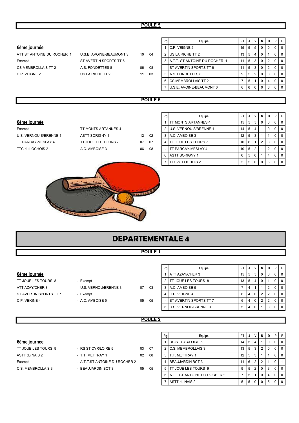#### POULE<sub>5</sub>

|                             |                                                           |    |    | Rg             | Equipe                    | PT             | J              | ٧              | N              | D              | P           | F           |  |
|-----------------------------|-----------------------------------------------------------|----|----|----------------|---------------------------|----------------|----------------|----------------|----------------|----------------|-------------|-------------|--|
| 6ème journée                |                                                           |    |    |                | 1 C.P. VEIGNE 2           | 15             | 5              | 5              | $\Omega$       | $\mathbf 0$    | $\mathbf 0$ | $\mathbf 0$ |  |
| ATT ST ANTOINE DU ROCHER 1  | U.S.E. AVOINE-BEAUMONT 3                                  | 10 | 04 |                | 2 US LA RICHE TT 2        | 13             | 5              | 4              | $\mathbf{0}$   |                | 0           | $\pmb{0}$   |  |
| Exempt                      | 3 A.T.T. ST ANTOINE DU ROCHER 1<br>ST AVERTIN SPORTS TT 6 |    |    |                |                           | 11             | 5              | 3              | $\mathbf 0$    | 2              | 0           | $\mathbf 0$ |  |
| CS MEMBROLLAIS TT 2         | A.S. FONDETTES 8                                          | 06 | 08 | $\blacksquare$ | ST AVERTIN SPORTS TT 6    | 11             | 5              | 3              | $\pmb{0}$      | $\overline{2}$ | $\pmb{0}$   | $\mathsf 0$ |  |
| C.P. VEIGNE 2               | US LA RICHE TT 2                                          | 11 | 03 |                | 5 A.S. FONDETTES 8        | 9              | 5              | $\overline{c}$ | $\mathbf{0}$   | 3              | 0           | $\mathbf 0$ |  |
|                             |                                                           |    |    |                | 6 ICS MEMBROLLAIS TT 2    | $\overline{7}$ | 5              | 1              | $\mathbf 0$    | 4              | 0           | $\mathbf 0$ |  |
| 7 JU.S.E. AVOINE-BEAUMONT 3 |                                                           |    |    |                |                           |                | 6              | $\pmb{0}$      | $\mathbf 0$    | 6              | $\pmb{0}$   | $\mathbf 0$ |  |
|                             |                                                           |    |    |                |                           |                |                |                |                |                |             |             |  |
| POULE <sub>6</sub>          |                                                           |    |    |                |                           |                |                |                |                |                |             |             |  |
|                             |                                                           |    |    |                |                           |                |                |                |                |                |             |             |  |
|                             |                                                           |    |    | Rg             | Equipe                    | PT             | J              | V              | N              | D              | P           | F           |  |
| 6ème journée                |                                                           |    |    |                | 1 ITT MONTS ARTANNES 4    | 15             | 5              | 5              | $\mathbf 0$    | $\mathbf 0$    | $\mathbf 0$ | $\pmb{0}$   |  |
| Exempt                      | TT MONTS ARTANNES 4                                       |    |    |                | 2 U.S. VERNOU S/BRENNE 1  | 14             | 5              | 4              | $\overline{1}$ | $\mathbf 0$    | 0           | $\mathsf 0$ |  |
| U.S. VERNOU S/BRENNE 1      | <b>ASTT SORIGNY 1</b>                                     | 12 | 02 |                | 3 A.C. AMBOISE 3          | 12             | 5              | 3              |                | 1              | 0           | $\mathbf 0$ |  |
| TT PARCAY-MESLAY 4          | TT JOUE LES TOURS 7                                       | 07 | 07 |                | 4 TT JOUE LES TOURS 7     | 10             | 6              | 1              | $\overline{2}$ | 3              | $\mathbf 0$ | $\mathsf 0$ |  |
| TTC du LOCHOIS 2            | A.C. AMBOISE 3                                            | 06 | 08 |                | <b>TT PARCAY-MESLAY 4</b> | 10             | $\overline{5}$ | $\mathbf 2$    | $\mathbf{1}$   | $\overline{2}$ | $\pmb{0}$   | $\pmb{0}$   |  |
|                             |                                                           |    |    |                | 6 ASTT SORIGNY 1          | 6              | 5              | 0              |                | 4              | 0           | $\mathsf 0$ |  |
|                             |                                                           |    |    |                | 7 TTC du LOCHOIS 2        | 5              | 5              | $\mathbf 0$    | $\mathbf 0$    | 5              | $\mathbf 0$ | $\mathbf 0$ |  |
| <b>TESTITI</b>              |                                                           |    |    |                |                           |                |                |                |                |                |             |             |  |
| <b>DEPARTEMENTALE 4</b>     |                                                           |    |    |                |                           |                |                |                |                |                |             |             |  |

#### POULE<sub>1</sub>

#### 6ème journée

TT JOUE LES TOURS 8 ST AVERTIN SPORTS TT 7 C.P. VEIGNE 4 - A.C. AMBOISE 5 05 05 05

| 6ème journée             |                                                                        |    |           |  |  |  |  |  |
|--------------------------|------------------------------------------------------------------------|----|-----------|--|--|--|--|--|
| TT JOUE LES TOURS 8      | - Exempt                                                               |    |           |  |  |  |  |  |
| ATT AZAY/CHER 3          | - U.S. VERNOU/BRENNE 3                                                 | 07 | 03        |  |  |  |  |  |
| ST AVERTIN SPORTS TT 7   | - Exempt                                                               |    |           |  |  |  |  |  |
| $CD$ $M$ $D$ $N$ $F$ $A$ | $\Lambda$ $\cap$ $\Lambda$ $\Lambda$ $\Omega$ $\cap$ $\Gamma$ $\Gamma$ | ΛE | <b>OF</b> |  |  |  |  |  |

| Rg | Equipe                         | PT |   |          | N | D | Ρ        |  |
|----|--------------------------------|----|---|----------|---|---|----------|--|
|    | <b>ATT AZAY/CHER 3</b>         | 15 | 5 | 5        | 0 | 0 | 0        |  |
| 2  | ITT JOUE LES TOURS 8           | 13 | 5 | 4        | 0 |   |          |  |
| 3  | A.C. AMBOISE 5                 |    |   |          |   | っ | O        |  |
|    | C.P. VEIGNE 4                  | 6  | 4 | $\Omega$ | 2 | 2 | $\Omega$ |  |
|    | <b>IST AVERTIN SPORTS TT 7</b> | 6  |   | O        | 2 | っ | O        |  |
| 6  | U.S. VERNOU/BRENNE 3           | 5  |   |          |   | 3 | C        |  |

1

#### POULE<sub>2</sub>

#### 6ème journée

| TT JOUE LES TOURS 9 | - RS ST CYR/LOIRE 5            | 03 | 07 |
|---------------------|--------------------------------|----|----|
| ASTT du NAIS 2      | - T.T. METTRAY 1               | በ2 | 08 |
| Exempt              | - A.T.T.ST ANTOINE DU ROCHER 2 |    |    |
| C.S. MEMBROLLAIS 3  | - BEAUJARDIN BCT 3             | 05 | 05 |

|                     |                                |                 |      | Equipe<br>Rg |                                | <b>PT</b> |                | νI           | N I            | DI   | P I            |                |
|---------------------|--------------------------------|-----------------|------|--------------|--------------------------------|-----------|----------------|--------------|----------------|------|----------------|----------------|
| 6ème journée        |                                |                 |      |              | <b>IRS ST CYR/LOIRE 5</b>      | 14        | 5              | 4            |                |      |                | ΙOΙ            |
| TT JOUE LES TOURS 9 | - RS ST CYR/LOIRE 5            | 03              | - 07 |              | 2 IC.S. MEMBROLLAIS 3          | 13        | 5 <sub>1</sub> | 3            | 2 <sub>1</sub> |      |                | I O            |
| ASTT du NAIS 2      | - T.T. METTRAY 1               | 02 <sup>2</sup> | 08   |              | 3 IT.T. METTRAY 1              | 12        | 5 <sup>1</sup> | 3            |                |      |                | IO.            |
| Exempt              | - A.T.T.ST ANTOINE DU ROCHER 2 |                 |      |              | <b>BEAUJARDIN BCT 3</b>        | 11        | 62             |              | $2 \cdot$      |      |                |                |
| C.S. MEMBROLLAIS 3  | - BEAUJARDIN BCT 3             | 05              | 05   |              | 5 ITT JOUE LES TOURS 9         | 9         | -5 I           | <sup>2</sup> | $\Omega$       |      | 300            |                |
|                     |                                |                 |      |              | 6 A.T.T.ST ANTOINE DU ROCHER 2 |           | 5              |              | $0-1$          | 4 I  | 0 <sub>0</sub> |                |
|                     |                                |                 |      |              | ASTT du NAIS 2                 | 5         | 5              | $\circ$ 1    | $\Omega$ 1     | -5 I |                | $\overline{0}$ |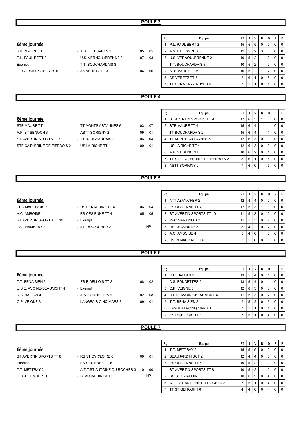#### POULE 3

| 6ème journée                                   |                         |                | Rg<br>Equipe<br>$\mathbf{1}$<br>P.L. PAUL BERT 2 | PT<br>15       | J<br>5          | V<br>5         | N<br>$\Omega$ | D<br>$\mathbf 0$ | P<br>$\mathbf 0$ | F<br>$\mathbf 0$ |  |
|------------------------------------------------|-------------------------|----------------|--------------------------------------------------|----------------|-----------------|----------------|---------------|------------------|------------------|------------------|--|
| STE MAURE TT 5                                 | - A.S.T.T. ESVRES 3     | 05<br>05       | A.S.T.T. ESVRES 3<br>2                           | 12             | 5               | $\overline{2}$ | 3             | $\mathbf 0$      | $\mathbf 0$      | $\mathbf 0$      |  |
| P.L. PAUL BERT 2                               | - U.S. VERNOU /BRENNE 2 | 07<br>03       | U.S. VERNOU /BRENNE 2<br>3                       | 10             | 5               | $\overline{2}$ | $\mathbf{1}$  | $\overline{2}$   | $\mathbf 0$      | $\mathbf 0$      |  |
| Exempt                                         | - T.T. BOUCHARDAIS 3    |                | T.T. BOUCHARDAIS 3<br>$\blacksquare$             | 10             | 5               | $\overline{c}$ | 1             | $\sqrt{2}$       | $\mathbf 0$      | $\mathsf 0$      |  |
| TT CORMERY-TRUYES 6                            | - AS VERETZ TT 3        | 04<br>06       | <b>STE MAURE TT 5</b>                            | 10             | 5               | $\overline{2}$ | 1             | $\sqrt{2}$       | $\mathbf 0$      | $\mathbf 0$      |  |
|                                                |                         |                | 6<br>AS VERETZ TT 3                              | 8              | 6               | $\mathbf{1}$   | $\mathbf 0$   | 5                | $\mathbf 0$      | $\mathbf 0$      |  |
|                                                |                         |                | <b>TT CORMERY-TRUYES 6</b><br>7                  | $\overline{7}$ | 5               | -1             | 0             | 4                | $\mathbf 0$      | $\mathbf 0$      |  |
|                                                |                         |                |                                                  |                |                 |                |               |                  |                  |                  |  |
|                                                |                         | <b>POULE 4</b> |                                                  |                |                 |                |               |                  |                  |                  |  |
|                                                |                         |                |                                                  |                |                 |                |               |                  |                  |                  |  |
|                                                |                         |                |                                                  |                |                 |                |               |                  |                  |                  |  |
|                                                |                         |                | Rg<br>Equipe                                     | PT             | J               | V              | N             | D                | P                | F                |  |
| 6ème journée                                   |                         |                | ST AVERTIN SPORTS TT 9<br>$\mathbf{1}$           | 17             | $\,6\,$         | 5              | 1             | $\mathbf 0$      | $\mathbf 0$      | $\mathbf 0$      |  |
| STE MAURE TT 4                                 | - TT MONTS ARTANNES 6   | 07<br>03       | <b>STE MAURE TT 4</b><br>2                       | 15             | 6               | $\overline{4}$ |               |                  | $\mathbf 0$      | $\mathbf 0$      |  |
| A.P. ST SENOCH 3                               | - ASTT SORIGNY 2        | 01<br>09       | <b>TT BOUCHARDAIS 2</b>                          | 15             | 6               | $\overline{4}$ |               | $\mathbf{1}$     | $\mathbf 0$      | $\mathbf 0$      |  |
| ST AVERTIN SPORTS TT 9                         | - TT BOUCHARDAIS 2      | 04<br>06       | <b>ITT MONTS ARTANNES 6</b><br>4                 | 12             | 6               | 3              | $\mathbf 0$   | 3                | $\mathbf 0$      | $\mathbf 0$      |  |
| STE CATHERINE DE FIERBOIS 2 - US LA RICHE TT 4 |                         | 01<br>09       | US LA RICHE TT 4<br>$\overline{\phantom{a}}$     | 12             | $6\phantom{1}$  | $\mathbf{3}$   | $\mathbf 0$   | 3                | $\mathbf 0$      | $\mathbf 0$      |  |
|                                                |                         |                | A.P. ST SENOCH 3<br>6                            | 10             | $6\phantom{1}6$ | $\overline{2}$ | $\mathbf 0$   | $\overline{4}$   | $\mathbf 0$      | $\mathbf 0$      |  |
|                                                |                         |                | 7<br><b>ITT STE CATHERINE DE FIERBOIS 2</b>      | 8              | 6               | $\mathbf{1}$   | 0             | 5                | $\mathbf 0$      | $\mathbf 0$      |  |
|                                                |                         |                | <b>ASTT SORIGNY 2</b><br>8                       | $\overline{7}$ | 6               | $\mathbf 0$    |               | 5                | $\mathbf 0$      | $\mathbf 0$      |  |
| POULE <sub>5</sub>                             |                         |                |                                                  |                |                 |                |               |                  |                  |                  |  |
|                                                |                         |                |                                                  |                |                 |                |               |                  |                  |                  |  |
|                                                |                         |                |                                                  |                |                 |                |               |                  |                  |                  |  |
|                                                |                         |                | Rg<br>Equipe                                     | PT             | J               | V              | N             | D                | P                | F                |  |
| 6ème journée                                   |                         |                | ATT AZAY/CHER 2<br>$\mathbf{1}$                  | 12             | $\overline{4}$  | $\overline{4}$ | $\mathbf 0$   | $\pmb{0}$        | $\pmb{0}$        | $\mathbf 0$      |  |
| PPC MARTINOIS 2                                | - US RENAUDINE TT 6     | 06<br>04       | <b>ES OESIENNE TT 4</b>                          | 12             | 5               | 3              |               | $\mathbf{1}$     | $\mathbf 0$      | $\mathbf 0$      |  |
| A.C. AMBOISE 4                                 | - ES OESIENNE TT 4      | 05<br>05       | ST AVERTIN SPORTS TT 10<br>3                     | 11             | 5               | 3              | $\mathbf 0$   | 2                | $\mathbf 0$      | $\mathbf 0$      |  |
| ST AVERTIN SPORTS TT 10                        | - Exempt                |                | <b>PPC MARTINOIS 2</b>                           | 11             | 5               | 3              | $\mathbf 0$   | $\sqrt{2}$       | $\mathbf 0$      | $\mathbf 0$      |  |
| US CHAMBRAY 3                                  | - ATT AZAY/CHER 2       | <b>NP</b>      | US CHAMBRAY 3<br>5                               | 8              | 4               | $\overline{2}$ | $\mathbf 0$   | $\overline{2}$   | $\mathbf 0$      | $\mathbf 0$      |  |
|                                                |                         |                | A.C. AMBOISE 4<br>6                              | 5              | 4               | $\mathbf 0$    | 1             | 3                | $\mathbf 0$      | $\mathbf 0$      |  |
|                                                |                         |                | US RENAUDINE TT 6                                | 5              | 5               | $\mathbf 0$    | $\Omega$      | 5                | $\mathbf 0$      | $\mathbf 0$      |  |
|                                                |                         |                |                                                  |                |                 |                |               |                  |                  |                  |  |
|                                                |                         | <b>POULE 6</b> |                                                  |                |                 |                |               |                  |                  |                  |  |
|                                                |                         |                |                                                  |                |                 |                |               |                  |                  |                  |  |
|                                                |                         |                | Rg<br>Equipe                                     | PT             | J               | $\mathsf{v}$   | N             | D                | P                | F                |  |
| 6ème journée                                   |                         |                | R.C. BALLAN 4<br>$\mathbf{1}$                    | 13             | $\,$ 5 $\,$     | $\overline{4}$ | $\mathbf 0$   | $\mathbf{1}$     | $\mathbf 0$      | $\mathbf 0$      |  |
| T.T. BENAISIEN 3                               | - ES RIDELLOIS TT 3     | 02<br>08       | A.S. FONDETTES 9                                 | 13             | 5               | $\overline{4}$ | 0             | $\mathbf 1$      | $\pmb{0}$        | $\mathbf 0$      |  |
| U.S.E. AVOINE-BEAUMONT 4                       | - Exempt                |                | 3<br>C.P. VEIGNE 3                               | 12             | 6               | $\mathbf{3}$   | $\mathbf 0$   | 3                | $\mathsf 0$      | $\overline{0}$   |  |
| R.C. BALLAN 4                                  | - A.S. FONDETTES 9      | 08<br>02       | U.S.E. AVOINE-BEAUMONT 4<br>4                    | 11             | 5               | 3              | 0             | $\overline{2}$   | $\mathbf 0$      | $\mathbf 0$      |  |
| C.P. VEIGNE 3                                  | - LANGEAIS-CINQ MARS 3  | 01<br>09       | T.T. BENAISIEN 3<br>5                            | 9              | $\,$ 5 $\,$     | $\overline{2}$ | 0             | 3                | 0                | $\mathbf 0$      |  |
|                                                |                         |                | LANGEAIS-CINQ MARS 3<br>6                        | $\overline{7}$ | 5               | $\mathbf{1}$   | 0             | 4                | $\mathbf 0$      | $\mathbf 0$      |  |
|                                                |                         |                | <b>ES RIDELLOIS TT 3</b>                         | $\overline{7}$ | 5               | $\overline{1}$ | $\mathbf 0$   | 4                | $\mathbf 0$      | $\mathbf 0$      |  |
|                                                |                         |                |                                                  |                |                 |                |               |                  |                  |                  |  |
|                                                |                         | <b>POULE 7</b> |                                                  |                |                 |                |               |                  |                  |                  |  |

#### 6ème journée

- ST AVERTIN SPORTS TT 8 RS ST CYR/LOIRE 6 09 01 Exempt - ES OESIENNE TT 5
- TT ST GENOUPH 6 BEAUJARDIN BCT 2
- 
- 
- T.T. METTRAY 2 A.T.T.ST ANTOINE DU ROCHER 3 10 00 NP

| Rg             | Equipe                         | ΡT |   | ν              | N        | D | Р | F |
|----------------|--------------------------------|----|---|----------------|----------|---|---|---|
|                | T.T. METTRAY 2                 | 15 | 5 | 5              | $\Omega$ | 0 | 0 | 0 |
| $\overline{2}$ | <b>BEAUJARDIN BCT 2</b>        | 12 | 4 | 4              | 0        | 0 | 0 | O |
| 3              | ES OESIENNE TT 5               | 10 | 5 | $\overline{2}$ |          | 2 | 0 | O |
|                | <b>IST AVERTIN SPORTS TT 8</b> | 10 | 5 | 2              |          | 2 | 0 | O |
|                | <b>IRS ST CYR/LOIRE 6</b>      | 10 | 6 | 2              | 0        | 4 | 0 | O |
| 6              | A.T.T.ST ANTOINE DU ROCHER 3   |    | 5 | 1              | 0        | 4 | 0 | O |
|                | TT ST GENOUPH 6                | 4  | 4 | 0              | 0        | 4 | O | O |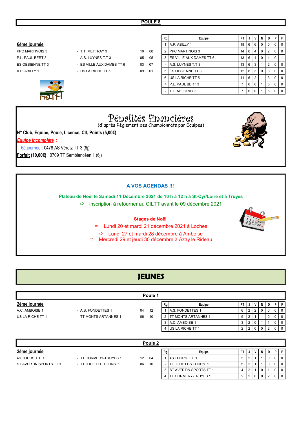#### 6ème journée du contracte de la contracte de la partie de la partie de la partie de la partie de la partie de la partie de la partie de la partie de la partie de la partie de la partie de la partie de la partie de la parti



| ES OESIENNE TT 3                                            | - ES VILLE AUX DAMES TT 6                        | 03 | 07 |  | - A.S. LUYNES T.T 3      | 13 | 6 I | $\mathbf{3}$ |   | 2 <sup>1</sup> | $\Omega$    | $\overline{0}$ |
|-------------------------------------------------------------|--------------------------------------------------|----|----|--|--------------------------|----|-----|--------------|---|----------------|-------------|----------------|
| A.P. ABILLY 1                                               | - US LA RICHE TT 5                               | 09 | 01 |  | 5 IES OESIENNE TT 3      | 12 | 6   | 3            | 0 | 3              | 0           | $\overline{0}$ |
|                                                             |                                                  |    |    |  | 6 IUS LA RICHE TT 5      | 11 | 6   | 2            |   | 3              | 0           | l 0            |
|                                                             |                                                  |    |    |  | <b>IP.L. PAUL BERT 3</b> | 7  | 6   | 0            |   | 5 <sup>1</sup> | $\Omega$    | $\overline{0}$ |
|                                                             |                                                  |    |    |  | T.T. METTRAY 3           | 7  | 6   | $\Omega$     |   | 5 <sup>1</sup> | $\mathbf 0$ | l 0            |
| Pépalités fipapcières                                       |                                                  |    |    |  |                          |    |     |              |   |                |             |                |
|                                                             | (d'après Règlement des Championnats par Equipes) |    |    |  |                          |    |     |              |   |                |             |                |
| N° Club, Equipe, Poule, Licence, Clt, Points (5,00€)        |                                                  |    |    |  |                          |    |     |              |   |                |             |                |
| Equipe Incomplète :                                         |                                                  |    |    |  |                          |    |     |              |   |                |             |                |
| 6è journée : 0478 AS Véretz TT 3 (6j)                       |                                                  |    |    |  |                          |    |     |              |   |                |             |                |
| Forfait (10,00 $\varepsilon$ ) : 0709 TT Semblancéen 1 (6j) |                                                  |    |    |  |                          |    |     |              |   |                |             |                |

Rg │ Equipe │ PT │ J │ V │ N │ D │ P │ F │

Plateau de Noël le Samedi 11 Décembre 2021 de 10 h à 12 h à St-Cyr/Loire et à Truyes

 $\Rightarrow$  inscription à retourner au CILTT avant le 09 décembre 2021

#### Stages de Noël

Lundi 20 et mardi 21 décembre 2021 à Loches

Lundi 27 et mardi 28 décembre à Amboise

 $\Rightarrow$  Mercredi 29 et jeudi 30 décembre à Azay le Rideau

#### **JEUNES**

| Poule 1          |                       |    |    |    |                             |      |                |  |  |   |     |          |
|------------------|-----------------------|----|----|----|-----------------------------|------|----------------|--|--|---|-----|----------|
| 2ème journée     |                       |    |    | Rg | Equipe                      | PT I |                |  |  | D | D I | F.       |
| A.C. AMBOISE 1   | - A.S. FONDETTES 1    | 04 | 12 |    | <b>IA.S. FONDETTES 1</b>    | 6 I  | 2.             |  |  |   |     | $\Omega$ |
| US LA RICHE TT 1 | - TT MONTS ARTANNES 1 | 06 | 10 |    | <b>ITT MONTS ARTANNES 1</b> | 5    | 2              |  |  |   |     | $\Omega$ |
|                  |                       |    |    |    | 3 IA.C. AMBOISE 1           | 3    | 2              |  |  |   |     | $\Omega$ |
|                  |                       |    |    | 4  | <b>US LA RICHE TT 1</b>     |      | 2 <sub>1</sub> |  |  | ◠ |     |          |

| Poule 2                |                       |    |    |    |                                |    |  |   |     |  |   |     |
|------------------------|-----------------------|----|----|----|--------------------------------|----|--|---|-----|--|---|-----|
| 2ème journée           |                       |    |    | Rg | Equipe                         | PT |  | v | NID |  | D |     |
| 4S TOURS T.T. 1        | - TT CORMERY-TRUYES 1 | 12 | 04 |    | <b>I4S TOURS T.T. 1</b>        | 5  |  |   |     |  |   |     |
| ST AVERTIN SPORTS TT 1 | - TT JOUE LES TOURS 1 | 06 | 10 | ۰. | <b>ITT JOUE LES TOURS 1</b>    | đ  |  |   |     |  |   | - 0 |
|                        |                       |    |    |    | <b>IST AVERTIN SPORTS TT 1</b> | 4  |  |   |     |  |   | - 0 |
|                        |                       |    |    |    | <b>ITT CORMERY-TRUYES 1</b>    |    |  |   |     |  |   | - 0 |

# A VOS AGENDAS !!!

PPC MARTINOIS 3 - T.T. METTRAY 3 10 00 2 PPC MARTINOIS 3  $14 \begin{bmatrix} 6 \end{bmatrix} 4 \begin{bmatrix} 2 \end{bmatrix} 2 \begin{bmatrix} 0 \end{bmatrix} 0$ P.L. PAUL BERT 3 - A.S. LUYNES T.T 3 05 05 3 ES VILLE AUX DAMES TT 6 13 6 4 0 1 0 ES OESIENNE TT 3 - ES VILLE AU